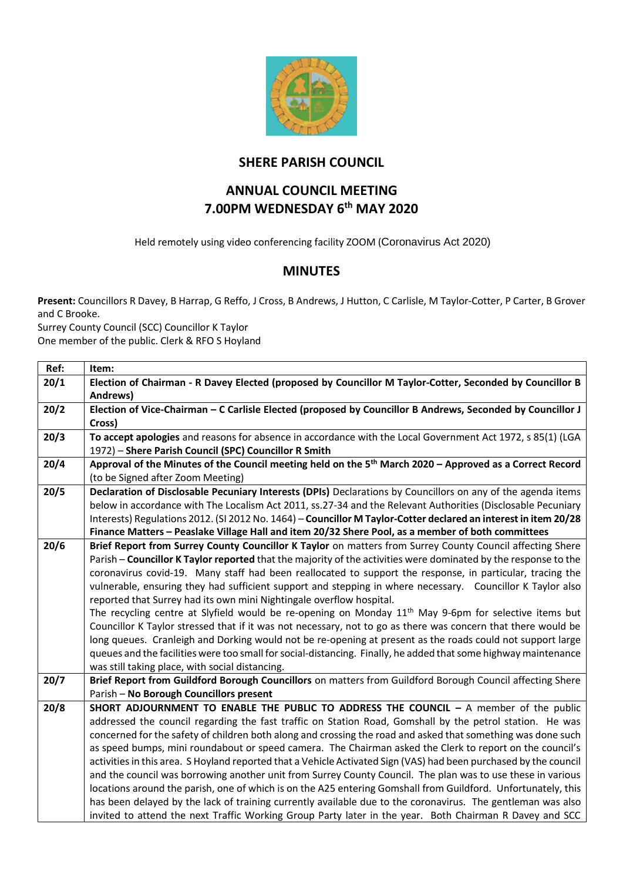

## **SHERE PARISH COUNCIL**

## **ANNUAL COUNCIL MEETING 7.00PM WEDNESDAY 6th MAY 2020**

Held remotely using video conferencing facility ZOOM (Coronavirus Act 2020)

## **MINUTES**

**Present:** Councillors R Davey, B Harrap, G Reffo, J Cross, B Andrews, J Hutton, C Carlisle, M Taylor-Cotter, P Carter, B Grover and C Brooke.

Surrey County Council (SCC) Councillor K Taylor One member of the public. Clerk & RFO S Hoyland

| Ref: | Item:                                                                                                                |  |  |  |
|------|----------------------------------------------------------------------------------------------------------------------|--|--|--|
| 20/1 | Election of Chairman - R Davey Elected (proposed by Councillor M Taylor-Cotter, Seconded by Councillor B<br>Andrews) |  |  |  |
| 20/2 | Election of Vice-Chairman - C Carlisle Elected (proposed by Councillor B Andrews, Seconded by Councillor J           |  |  |  |
|      | Cross)                                                                                                               |  |  |  |
| 20/3 | To accept apologies and reasons for absence in accordance with the Local Government Act 1972, s 85(1) (LGA           |  |  |  |
|      | 1972) - Shere Parish Council (SPC) Councillor R Smith                                                                |  |  |  |
| 20/4 | Approval of the Minutes of the Council meeting held on the 5 <sup>th</sup> March 2020 - Approved as a Correct Record |  |  |  |
|      | (to be Signed after Zoom Meeting)                                                                                    |  |  |  |
| 20/5 | Declaration of Disclosable Pecuniary Interests (DPIs) Declarations by Councillors on any of the agenda items         |  |  |  |
|      | below in accordance with The Localism Act 2011, ss.27-34 and the Relevant Authorities (Disclosable Pecuniary         |  |  |  |
|      | Interests) Regulations 2012. (SI 2012 No. 1464) - Councillor M Taylor-Cotter declared an interest in item 20/28      |  |  |  |
|      | Finance Matters - Peaslake Village Hall and item 20/32 Shere Pool, as a member of both committees                    |  |  |  |
| 20/6 | Brief Report from Surrey County Councillor K Taylor on matters from Surrey County Council affecting Shere            |  |  |  |
|      | Parish - Councillor K Taylor reported that the majority of the activities were dominated by the response to the      |  |  |  |
|      | coronavirus covid-19. Many staff had been reallocated to support the response, in particular, tracing the            |  |  |  |
|      | vulnerable, ensuring they had sufficient support and stepping in where necessary. Councillor K Taylor also           |  |  |  |
|      | reported that Surrey had its own mini Nightingale overflow hospital.                                                 |  |  |  |
|      | The recycling centre at Slyfield would be re-opening on Monday 11 <sup>th</sup> May 9-6pm for selective items but    |  |  |  |
|      | Councillor K Taylor stressed that if it was not necessary, not to go as there was concern that there would be        |  |  |  |
|      | long queues. Cranleigh and Dorking would not be re-opening at present as the roads could not support large           |  |  |  |
|      | queues and the facilities were too small for social-distancing. Finally, he added that some highway maintenance      |  |  |  |
|      | was still taking place, with social distancing.                                                                      |  |  |  |
| 20/7 | Brief Report from Guildford Borough Councillors on matters from Guildford Borough Council affecting Shere            |  |  |  |
|      | Parish - No Borough Councillors present                                                                              |  |  |  |
| 20/8 | SHORT ADJOURNMENT TO ENABLE THE PUBLIC TO ADDRESS THE COUNCIL - A member of the public                               |  |  |  |
|      | addressed the council regarding the fast traffic on Station Road, Gomshall by the petrol station. He was             |  |  |  |
|      | concerned for the safety of children both along and crossing the road and asked that something was done such         |  |  |  |
|      | as speed bumps, mini roundabout or speed camera. The Chairman asked the Clerk to report on the council's             |  |  |  |
|      | activities in this area. S Hoyland reported that a Vehicle Activated Sign (VAS) had been purchased by the council    |  |  |  |
|      | and the council was borrowing another unit from Surrey County Council. The plan was to use these in various          |  |  |  |
|      | locations around the parish, one of which is on the A25 entering Gomshall from Guildford. Unfortunately, this        |  |  |  |
|      | has been delayed by the lack of training currently available due to the coronavirus. The gentleman was also          |  |  |  |
|      | invited to attend the next Traffic Working Group Party later in the year. Both Chairman R Davey and SCC              |  |  |  |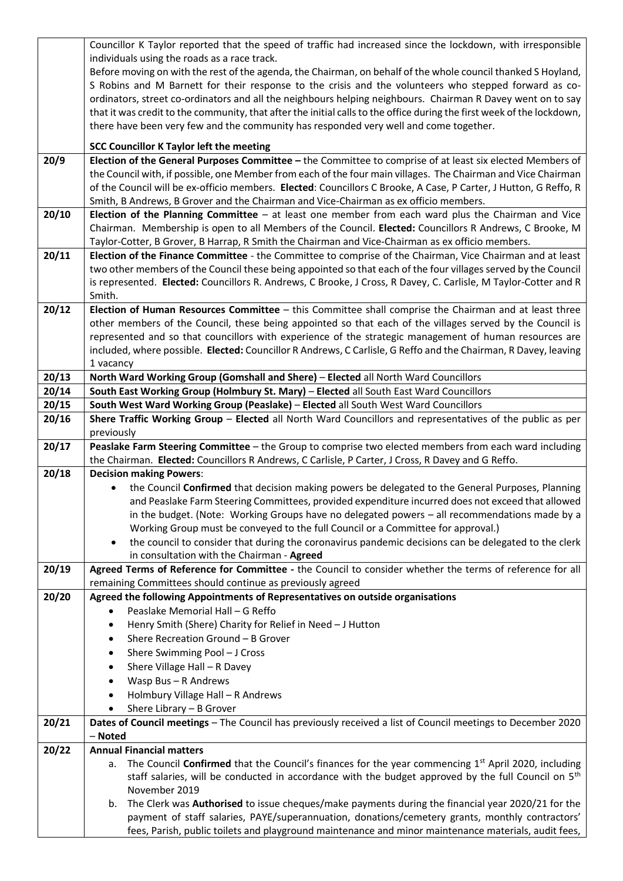|       | Councillor K Taylor reported that the speed of traffic had increased since the lockdown, with irresponsible                                                                                                 |
|-------|-------------------------------------------------------------------------------------------------------------------------------------------------------------------------------------------------------------|
|       | individuals using the roads as a race track.                                                                                                                                                                |
|       | Before moving on with the rest of the agenda, the Chairman, on behalf of the whole council thanked S Hoyland,                                                                                               |
|       | S Robins and M Barnett for their response to the crisis and the volunteers who stepped forward as co-                                                                                                       |
|       | ordinators, street co-ordinators and all the neighbours helping neighbours. Chairman R Davey went on to say                                                                                                 |
|       | that it was credit to the community, that after the initial calls to the office during the first week of the lockdown,                                                                                      |
|       | there have been very few and the community has responded very well and come together.                                                                                                                       |
|       |                                                                                                                                                                                                             |
|       | <b>SCC Councillor K Taylor left the meeting</b>                                                                                                                                                             |
| 20/9  | Election of the General Purposes Committee - the Committee to comprise of at least six elected Members of                                                                                                   |
|       | the Council with, if possible, one Member from each of the four main villages. The Chairman and Vice Chairman                                                                                               |
|       | of the Council will be ex-officio members. Elected: Councillors C Brooke, A Case, P Carter, J Hutton, G Reffo, R                                                                                            |
|       | Smith, B Andrews, B Grover and the Chairman and Vice-Chairman as ex officio members.                                                                                                                        |
| 20/10 | Election of the Planning Committee - at least one member from each ward plus the Chairman and Vice                                                                                                          |
|       | Chairman. Membership is open to all Members of the Council. Elected: Councillors R Andrews, C Brooke, M<br>Taylor-Cotter, B Grover, B Harrap, R Smith the Chairman and Vice-Chairman as ex officio members. |
| 20/11 | Election of the Finance Committee - the Committee to comprise of the Chairman, Vice Chairman and at least                                                                                                   |
|       | two other members of the Council these being appointed so that each of the four villages served by the Council                                                                                              |
|       | is represented. Elected: Councillors R. Andrews, C Brooke, J Cross, R Davey, C. Carlisle, M Taylor-Cotter and R                                                                                             |
|       | Smith.                                                                                                                                                                                                      |
| 20/12 | Election of Human Resources Committee - this Committee shall comprise the Chairman and at least three                                                                                                       |
|       | other members of the Council, these being appointed so that each of the villages served by the Council is                                                                                                   |
|       | represented and so that councillors with experience of the strategic management of human resources are                                                                                                      |
|       | included, where possible. Elected: Councillor R Andrews, C Carlisle, G Reffo and the Chairman, R Davey, leaving                                                                                             |
|       | 1 vacancy                                                                                                                                                                                                   |
| 20/13 | North Ward Working Group (Gomshall and Shere) - Elected all North Ward Councillors                                                                                                                          |
| 20/14 | South East Working Group (Holmbury St. Mary) - Elected all South East Ward Councillors                                                                                                                      |
| 20/15 | South West Ward Working Group (Peaslake) - Elected all South West Ward Councillors                                                                                                                          |
| 20/16 | Shere Traffic Working Group - Elected all North Ward Councillors and representatives of the public as per                                                                                                   |
|       | previously                                                                                                                                                                                                  |
|       |                                                                                                                                                                                                             |
| 20/17 | Peaslake Farm Steering Committee - the Group to comprise two elected members from each ward including                                                                                                       |
|       | the Chairman. Elected: Councillors R Andrews, C Carlisle, P Carter, J Cross, R Davey and G Reffo.                                                                                                           |
| 20/18 | <b>Decision making Powers:</b>                                                                                                                                                                              |
|       | the Council Confirmed that decision making powers be delegated to the General Purposes, Planning                                                                                                            |
|       | and Peaslake Farm Steering Committees, provided expenditure incurred does not exceed that allowed                                                                                                           |
|       | in the budget. (Note: Working Groups have no delegated powers - all recommendations made by a                                                                                                               |
|       | Working Group must be conveyed to the full Council or a Committee for approval.)                                                                                                                            |
|       | the council to consider that during the coronavirus pandemic decisions can be delegated to the clerk<br>$\bullet$                                                                                           |
|       | in consultation with the Chairman - Agreed                                                                                                                                                                  |
| 20/19 | Agreed Terms of Reference for Committee - the Council to consider whether the terms of reference for all                                                                                                    |
|       | remaining Committees should continue as previously agreed                                                                                                                                                   |
| 20/20 | Agreed the following Appointments of Representatives on outside organisations                                                                                                                               |
|       | Peaslake Memorial Hall - G Reffo<br>$\bullet$                                                                                                                                                               |
|       | Henry Smith (Shere) Charity for Relief in Need - J Hutton<br>$\bullet$                                                                                                                                      |
|       | Shere Recreation Ground - B Grover<br>٠                                                                                                                                                                     |
|       | Shere Swimming Pool - J Cross<br>$\bullet$                                                                                                                                                                  |
|       | Shere Village Hall - R Davey<br>$\bullet$                                                                                                                                                                   |
|       | Wasp Bus - R Andrews<br>٠                                                                                                                                                                                   |
|       | Holmbury Village Hall - R Andrews<br>٠                                                                                                                                                                      |
|       | Shere Library - B Grover<br>٠                                                                                                                                                                               |
| 20/21 | Dates of Council meetings - The Council has previously received a list of Council meetings to December 2020                                                                                                 |
| 20/22 | - Noted<br><b>Annual Financial matters</b>                                                                                                                                                                  |
|       | The Council Confirmed that the Council's finances for the year commencing $1st$ April 2020, including<br>а.                                                                                                 |
|       | staff salaries, will be conducted in accordance with the budget approved by the full Council on 5 <sup>th</sup>                                                                                             |
|       | November 2019                                                                                                                                                                                               |
|       | The Clerk was Authorised to issue cheques/make payments during the financial year 2020/21 for the<br>b.                                                                                                     |
|       | payment of staff salaries, PAYE/superannuation, donations/cemetery grants, monthly contractors'                                                                                                             |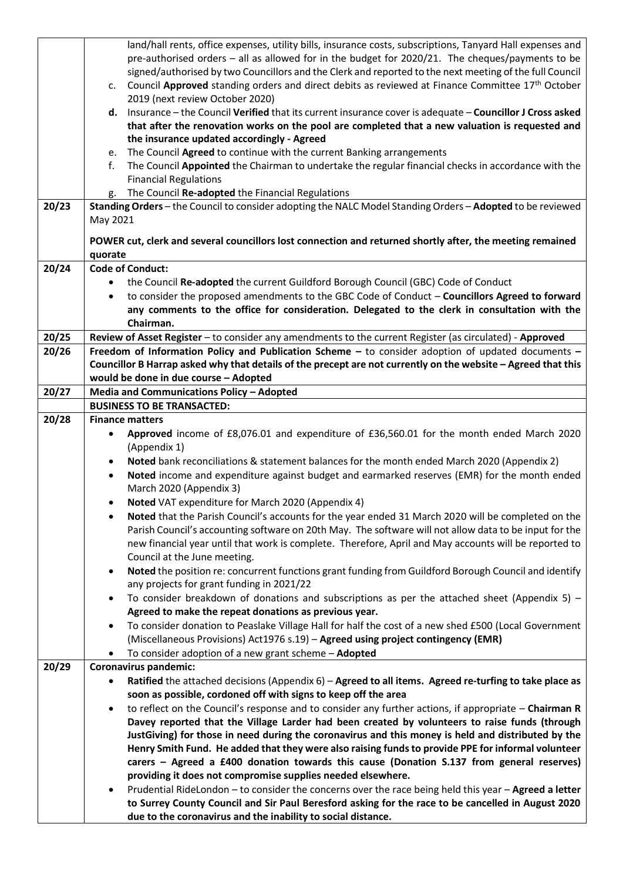|       |           | land/hall rents, office expenses, utility bills, insurance costs, subscriptions, Tanyard Hall expenses and    |
|-------|-----------|---------------------------------------------------------------------------------------------------------------|
|       |           | pre-authorised orders - all as allowed for in the budget for 2020/21. The cheques/payments to be              |
|       |           | signed/authorised by two Councillors and the Clerk and reported to the next meeting of the full Council       |
|       | c.        | Council Approved standing orders and direct debits as reviewed at Finance Committee 17 <sup>th</sup> October  |
|       |           | 2019 (next review October 2020)                                                                               |
|       |           | d. Insurance - the Council Verified that its current insurance cover is adequate - Councillor J Cross asked   |
|       |           | that after the renovation works on the pool are completed that a new valuation is requested and               |
|       |           | the insurance updated accordingly - Agreed                                                                    |
|       | e.        | The Council Agreed to continue with the current Banking arrangements                                          |
|       | f.        | The Council Appointed the Chairman to undertake the regular financial checks in accordance with the           |
|       |           | <b>Financial Regulations</b>                                                                                  |
|       | g.        | The Council Re-adopted the Financial Regulations                                                              |
| 20/23 |           | Standing Orders - the Council to consider adopting the NALC Model Standing Orders - Adopted to be reviewed    |
|       | May 2021  |                                                                                                               |
|       |           | POWER cut, clerk and several councillors lost connection and returned shortly after, the meeting remained     |
|       | quorate   |                                                                                                               |
| 20/24 |           | <b>Code of Conduct:</b>                                                                                       |
|       |           | the Council Re-adopted the current Guildford Borough Council (GBC) Code of Conduct                            |
|       | $\bullet$ | to consider the proposed amendments to the GBC Code of Conduct - Councillors Agreed to forward                |
|       |           | any comments to the office for consideration. Delegated to the clerk in consultation with the                 |
|       |           | Chairman.                                                                                                     |
| 20/25 |           | Review of Asset Register - to consider any amendments to the current Register (as circulated) - Approved      |
| 20/26 |           | Freedom of Information Policy and Publication Scheme - to consider adoption of updated documents -            |
|       |           | Councillor B Harrap asked why that details of the precept are not currently on the website - Agreed that this |
|       |           | would be done in due course - Adopted                                                                         |
| 20/27 |           | Media and Communications Policy - Adopted                                                                     |
|       |           | <b>BUSINESS TO BE TRANSACTED:</b>                                                                             |
| 20/28 |           | <b>Finance matters</b>                                                                                        |
|       |           | Approved income of £8,076.01 and expenditure of £36,560.01 for the month ended March 2020                     |
|       |           | (Appendix 1)                                                                                                  |
|       | $\bullet$ | Noted bank reconciliations & statement balances for the month ended March 2020 (Appendix 2)                   |
|       | $\bullet$ | Noted income and expenditure against budget and earmarked reserves (EMR) for the month ended                  |
|       |           | March 2020 (Appendix 3)                                                                                       |
|       |           | Noted VAT expenditure for March 2020 (Appendix 4)                                                             |
|       | ٠         | Noted that the Parish Council's accounts for the year ended 31 March 2020 will be completed on the            |
|       |           | Parish Council's accounting software on 20th May. The software will not allow data to be input for the        |
|       |           | new financial year until that work is complete. Therefore, April and May accounts will be reported to         |
|       |           | Council at the June meeting.                                                                                  |
|       | $\bullet$ | Noted the position re: concurrent functions grant funding from Guildford Borough Council and identify         |
|       |           | any projects for grant funding in 2021/22                                                                     |
|       | $\bullet$ | To consider breakdown of donations and subscriptions as per the attached sheet (Appendix 5) –                 |
|       |           | Agreed to make the repeat donations as previous year.                                                         |
|       | $\bullet$ | To consider donation to Peaslake Village Hall for half the cost of a new shed £500 (Local Government          |
|       |           | (Miscellaneous Provisions) Act1976 s.19) - Agreed using project contingency (EMR)                             |
|       | ٠         | To consider adoption of a new grant scheme - Adopted                                                          |
| 20/29 |           | Coronavirus pandemic:                                                                                         |
|       | $\bullet$ | Ratified the attached decisions (Appendix 6) - Agreed to all items. Agreed re-turfing to take place as        |
|       |           | soon as possible, cordoned off with signs to keep off the area                                                |
|       |           | to reflect on the Council's response and to consider any further actions, if appropriate – Chairman R         |
|       |           | Davey reported that the Village Larder had been created by volunteers to raise funds (through                 |
|       |           | JustGiving) for those in need during the coronavirus and this money is held and distributed by the            |
|       |           | Henry Smith Fund. He added that they were also raising funds to provide PPE for informal volunteer            |
|       |           | carers - Agreed a £400 donation towards this cause (Donation S.137 from general reserves)                     |
|       |           | providing it does not compromise supplies needed elsewhere.                                                   |
|       |           | Prudential RideLondon - to consider the concerns over the race being held this year - Agreed a letter         |
|       |           | to Surrey County Council and Sir Paul Beresford asking for the race to be cancelled in August 2020            |
|       |           | due to the coronavirus and the inability to social distance.                                                  |